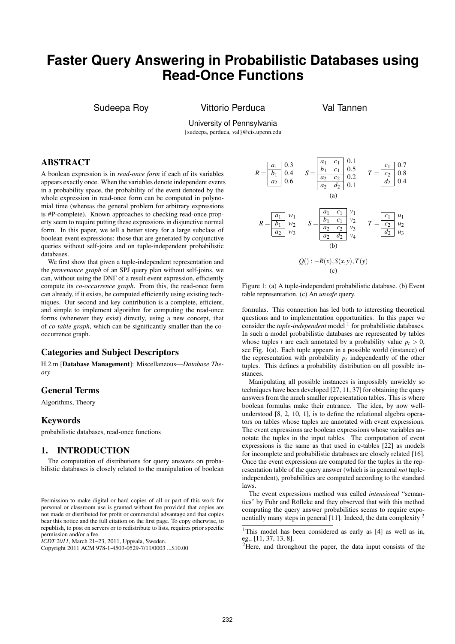# **Faster Query Answering in Probabilistic Databases using Read-Once Functions**

Sudeepa Roy Vittorio Perduca

Val Tannen

University of Pennsylvania {sudeepa, perduca, val}@cis.upenn.edu

## ABSTRACT

A boolean expression is in *read-once form* if each of its variables appears exactly once. When the variables denote independent events in a probability space, the probability of the event denoted by the whole expression in read-once form can be computed in polynomial time (whereas the general problem for arbitrary expressions is #P-complete). Known approaches to checking read-once property seem to require putting these expressions in disjunctive normal form. In this paper, we tell a better story for a large subclass of boolean event expressions: those that are generated by conjunctive queries without self-joins and on tuple-independent probabilistic databases.

We first show that given a tuple-independent representation and the *provenance graph* of an SPJ query plan without self-joins, we can, without using the DNF of a result event expression, efficiently compute its *co-occurrence graph*. From this, the read-once form can already, if it exists, be computed efficiently using existing techniques. Our second and key contribution is a complete, efficient, and simple to implement algorithm for computing the read-once forms (whenever they exist) directly, using a new concept, that of *co-table graph*, which can be significantly smaller than the cooccurrence graph.

#### Categories and Subject Descriptors

H.2.m [Database Management]: Miscellaneous—*Database Theory*

#### General Terms

Algorithms, Theory

## Keywords

probabilistic databases, read-once functions

## 1. INTRODUCTION

The computation of distributions for query answers on probabilistic databases is closely related to the manipulation of boolean

*ICDT 2011*, March 21–23, 2011, Uppsala, Sweden.



Figure 1: (a) A tuple-independent probabilistic database. (b) Event table representation. (c) An *unsafe* query.

formulas. This connection has led both to interesting theoretical questions and to implementation opportunities. In this paper we consider the *tuple-independent* model<sup>1</sup> for probabilistic databases. In such a model probabilistic databases are represented by tables whose tuples *t* are each annotated by a probability value  $p_t > 0$ , see Fig. 1(a). Each tuple appears in a possible world (instance) of the representation with probability  $p_t$  independently of the other tuples. This defines a probability distribution on all possible instances.

Manipulating all possible instances is impossibly unwieldy so techniques have been developed [27, 11, 37] for obtaining the query answers from the much smaller representation tables. This is where boolean formulas make their entrance. The idea, by now wellunderstood [8, 2, 10, 1], is to define the relational algebra operators on tables whose tuples are annotated with event expressions. The event expressions are boolean expressions whose variables annotate the tuples in the input tables. The computation of event expressions is the same as that used in c-tables [22] as models for incomplete and probabilistic databases are closely related [16]. Once the event expressions are computed for the tuples in the representation table of the query answer (which is in general *not* tupleindependent), probabilities are computed according to the standard laws.

The event expressions method was called *intensional* "semantics" by Fuhr and Rölleke and they observed that with this method computing the query answer probabilities seems to require exponentially many steps in general [11]. Indeed, the data complexity <sup>2</sup>

Permission to make digital or hard copies of all or part of this work for personal or classroom use is granted without fee provided that copies are not made or distributed for profit or commercial advantage and that copies bear this notice and the full citation on the first page. To copy otherwise, to republish, to post on servers or to redistribute to lists, requires prior specific permission and/or a fee.

Copyright 2011 ACM 978-1-4503-0529-7/11/0003 ...\$10.00

<sup>&</sup>lt;sup>1</sup>This model has been considered as early as [4] as well as in, eg., [11, 37, 13, 8].

<sup>&</sup>lt;sup>2</sup>Here, and throughout the paper, the data input consists of the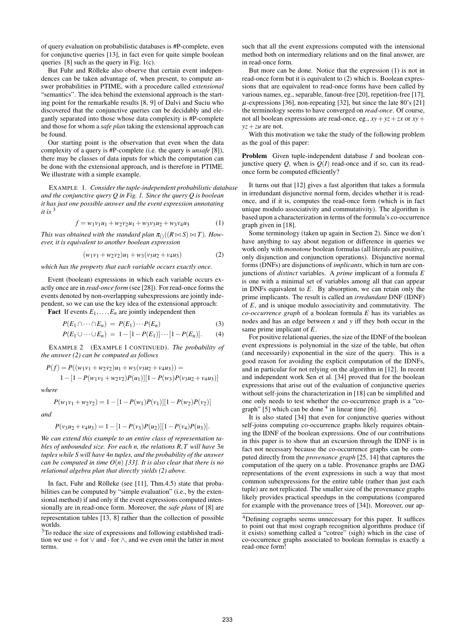of query evaluation on probabilistic databases is #P-complete, even for conjunctive queries [13], in fact even for quite simple boolean queries [8] such as the query in Fig. 1(c).

But Fuhr and Rölleke also observe that certain event independences can be taken advantage of, when present, to compute answer probabilities in PTIME, with a procedure called *extensional* "semantics". The idea behind the extensional approach is the starting point for the remarkable results [8, 9] of Dalvi and Suciu who discovered that the conjunctive queries can be decidably and elegantly separated into those whose data complexity is #P-complete and those for whom a *safe plan* taking the extensional approach can be found.

Our starting point is the observation that even when the data complexity of a query is #P-complete (i.e. the query is *unsafe* [8]), there may be classes of data inputs for which the computation can be done with the extensional approach, and is therefore in PTIME. We illustrate with a simple example.

EXAMPLE 1. *Consider the tuple-independent probabilistic database and the conjunctive query Q in Fig. 1. Since the query Q is boolean it has just one possible answer and the event expression annotating it is* <sup>3</sup>

$$
f = w_1v_1u_1 + w_2v_2u_1 + w_3v_3u_2 + w_3v_4u_3 \tag{1}
$$

*This was obtained with the standard plan*  $\pi_0((R \bowtie S) \bowtie T)$ *. However, it is equivalent to another boolean expression*

$$
(w_1v_1 + w_2v_2)u_1 + w_3(v_3u_2 + v_4u_3)
$$
 (2)

*which has the property that each variable occurs exactly once.*

Event (boolean) expressions in which each variable occurs exactly once are in *read-once form* (see [28]). For read-once forms the events denoted by non-overlapping subexpressions are jointly independent, so we can use the key idea of the extensional approach:

**Fact** If events  $E_1, \ldots, E_n$  are jointly independent then

$$
P(E_1 \cap \dots \cap E_n) = P(E_1) \cdots P(E_n)
$$
\n(3)

$$
P(E_1 \cup \dots \cup E_n) = 1 - [1 - P(E_1)] \cdots [1 - P(E_n)]. \tag{4}
$$

EXAMPLE 2 (EXAMPLE 1 CONTINUED). *The probability of the answer (2) can be computed as follows*

$$
P(f) = P((w_1v_1 + w_2v_2)u_1 + w_3(v_3u_2 + v_4u_3)) =
$$
  
1 - [1 - P(w\_1v\_1 + w\_2v\_2)P(u\_1)][1 - P(w\_3)P(v\_3u\_2 + v\_4u\_3)]

*where*

$$
P(w_1v_1 + w_2v_2) = 1 - [1 - P(w_1)P(v_1)][1 - P(w_2)P(v_2)]
$$

*and*

$$
P(v_3u_2 + v_4u_3) = 1 - [1 - P(v_3)P(u_2)][1 - P(v_4)P(u_3)].
$$

*We can extend this example to an entire class of representation tables of unbounded size. For each n, the relations R*,*T will have* 3*n tuples while S will have* 4*n tuples, and the probability of the answer can be computed in time O*(*n*) *[33]. It is also clear that there is no relational algebra plan that directly yields (2) above.*

In fact, Fuhr and Rölleke (see [11], Thm.4.5) state that probabilities can be computed by "simple evaluation" (i.e., by the extensional method) if and only if the event expressions computed intensionally are in read-once form. Moreover, the *safe plans* of [8] are

such that all the event expressions computed with the intensional method both on intermediary relations and on the final answer, are in read-once form.

But more can be done. Notice that the expression (1) is not in read-once form but it is equivalent to (2) which is. Boolean expressions that are equivalent to read-once forms have been called by various names, eg., separable, fanout-free [20], repetition-free [17],  $\mu$ -expressions [36], non-repeating [32], but since the late 80's [21] the terminology seems to have converged on *read-once*. Of course, not all boolean expressions are read-once, eg., *xy*+*yz*+*zx* or *xy*+  $yz + zu$  are not.

With this motivation we take the study of the following problem as the goal of this paper:

Problem Given tuple-independent database *I* and boolean conjunctive query  $Q$ , when is  $Q(I)$  read-once and if so, can its readonce form be computed efficiently?

It turns out that [12] gives a fast algorithm that takes a formula in irredundant disjunctive normal form, decides whether it is readonce, and if it is, computes the read-once form (which is in fact unique modulo associativity and commutativity). The algorithm is based upon a characterization in terms of the formula's co-occurrence graph given in [18].

Some terminology (taken up again in Section 2). Since we don't have anything to say about negation or difference in queries we work only with *monotone* boolean formulas (all literals are positive, only disjunction and conjunction operations). Disjunctive normal forms (DNFs) are disjunctions of *implicants*, which in turn are conjunctions of *distinct* variables. A *prime* implicant of a formula *E* is one with a minimal set of variables among all that can appear in DNFs equivalent to *E*. By absorption, we can retain only the prime implicants. The result is called an *irredundant* DNF (IDNF) of *E*, and is unique modulo associativity and commutativity. The *co-occurrence graph* of a boolean formula *E* has its variables as nodes and has an edge between *x* and *y* iff they both occur in the same prime implicant of *E*.

For positive relational queries, the size of the IDNF of the boolean event expressions is polynomial in the size of the table, but often (and necessarily) exponential in the size of the query. This is a good reason for avoiding the explicit computation of the IDNFs, and in particular for not relying on the algorithm in [12]. In recent and independent work Sen et al. [34] proved that for the boolean expressions that arise out of the evaluation of conjunctive queries without self-joins the characterization in [18] can be simplified and one only needs to test whether the co-occurrence graph is a "cograph"  $[5]$  which can be done  $<sup>4</sup>$  in linear time  $[6]$ .</sup>

It is also stated [34] that even for conjunctive queries without self-joins computing co-occurrence graphs likely requires obtaining the IDNF of the boolean expressions. One of our contributions in this paper is to show that an excursion through the IDNF is in fact not necessary because the co-occurrence graphs can be computed directly from the *provenance graph* [25, 14] that captures the computation of the query on a table. Provenance graphs are DAG representations of the event expressions in such a way that most common subexpressions for the entire table (rather than just each tuple) are not replicated. The smaller size of the provenance graphs likely provides practical speedups in the computations (compared for example with the provenance trees of [34]). Moreover, our ap-

representation tables [13, 8] rather than the collection of possible worlds.

<sup>&</sup>lt;sup>3</sup>To reduce the size of expressions and following established tradition we use + for  $\vee$  and · for  $\wedge$ , and we even omit the latter in most terms.

<sup>4</sup>Defining cographs seems unnecessary for this paper. It suffices to point out that most cograph recognition algorithms produce (if it exists) something called a "cotree" (sigh) which in the case of co-occurrence graphs associated to boolean formulas is exactly a read-once form!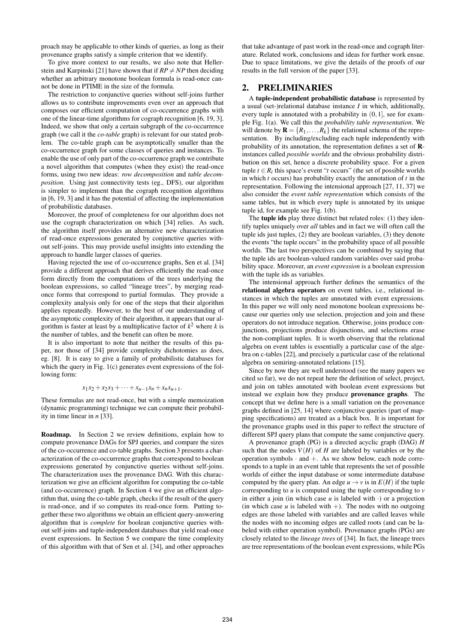proach may be applicable to other kinds of queries, as long as their provenance graphs satisfy a simple criterion that we identify.

To give more context to our results, we also note that Hellerstein and Karpinski [21] have shown that if  $RP \neq NP$  then deciding whether an arbitrary monotone boolean formula is read-once cannot be done in PTIME in the size of the formula.

The restriction to conjunctive queries without self-joins further allows us to contribute improvements even over an approach that composes our efficient computation of co-occurrence graphs with one of the linear-time algorithms for cograph recognition [6, 19, 3]. Indeed, we show that only a certain subgraph of the co-occurrence graph (we call it the *co-table* graph) is relevant for our stated problem. The co-table graph can be asymptotically smaller than the co-occurrence graph for some classes of queries and instances. To enable the use of only part of the co-occurrence graph we contribute a novel algorithm that computes (when they exist) the read-once forms, using two new ideas: *row decomposition* and *table decomposition*. Using just connectivity tests (eg., DFS), our algorithm is simpler to implement than the cograph recognition algorithms in [6, 19, 3] and it has the potential of affecting the implementation of probabilistic databases.

Moreover, the proof of completeness for our algorithm does not use the cograph characterization on which [34] relies. As such, the algorithm itself provides an alternative new characterization of read-once expressions generated by conjunctive queries without self-joins. This may provide useful insights into extending the approach to handle larger classes of queries.

Having rejected the use of co-occurrence graphs, Sen et al. [34] provide a different approach that derives efficiently the read-once form directly from the computations of the trees underlying the boolean expressions, so called "lineage trees", by merging readonce forms that correspond to partial formulas. They provide a complexity analysis only for one of the steps that their algorithm applies repeatedly. However, to the best of our understanding of the asymptotic complexity of their algorithm, it appears that our algorithm is faster at least by a multiplicative factor of  $k^2$  where k is the number of tables, and the benefit can often be more.

It is also important to note that neither the results of this paper, nor those of [34] provide complexity dichotomies as does, eg. [8]. It is easy to give a family of probabilistic databases for which the query in Fig. 1(c) generates event expressions of the following form:

#### $x_1x_2 + x_2x_3 + \cdots + x_{n-1}x_n + x_nx_{n+1}$ .

These formulas are not read-once, but with a simple memoization (dynamic programming) technique we can compute their probability in time linear in *n* [33].

Roadmap. In Section 2 we review definitions, explain how to compute provenance DAGs for SPJ queries, and compare the sizes of the co-occurrence and co-table graphs. Section 3 presents a characterization of the co-occurrence graphs that correspond to boolean expressions generated by conjunctive queries without self-joins. The characterization uses the provenance DAG. With this characterization we give an efficient algorithm for computing the co-table (and co-occurrence) graph. In Section 4 we give an efficient algorithm that, using the co-table graph, checks if the result of the query is read-once, and if so computes its read-once form. Putting together these two algorithms we obtain an efficient query-answering algorithm that is *complete* for boolean conjunctive queries without self-joins and tuple-independent databases that yield read-once event expressions. In Section 5 we compare the time complexity of this algorithm with that of Sen et al. [34], and other approaches

that take advantage of past work in the read-once and cograph literature. Related work, conclusions and ideas for further work ensue. Due to space limitations, we give the details of the proofs of our results in the full version of the paper [33].

#### **PRELIMINARIES**

A tuple-independent probabilistic database is represented by a usual (set-)relational database instance *I* in which, additionally, every tuple is annotated with a probability in (0,1], see for example Fig. 1(a). We call this the *probability table representation*. We will denote by  $\mathbf{R} = \{R_1, \ldots, R_k\}$  the relational schema of the representation. By including/excluding each tuple independently with probability of its annotation, the representation defines a set of Rinstances called *possible worlds* and the obvious probability distribution on this set, hence a discrete probability space. For a given tuple  $t \in R_i$  this space's event "*t* occurs" (the set of possible worlds in which *t* occurs) has probability exactly the annotation of *t* in the representation. Following the intensional approach [27, 11, 37] we also consider the *event table representation* which consists of the same tables, but in which every tuple is annotated by its unique tuple id, for example see Fig. 1(b).

The tuple ids play three distinct but related roles: (1) they identify tuples uniquely over *all* tables and in fact we will often call the tuple ids just tuples, (2) they are boolean variables, (3) they denote the events "the tuple occurs" in the probability space of all possible worlds. The last two perspectives can be combined by saying that the tuple ids are boolean-valued random variables over said probability space. Moreover, an *event expression* is a boolean expression with the tuple ids as variables.

The intensional approach further defines the semantics of the relational algebra operators on event tables, i.e., relational instances in which the tuples are annotated with event expressions. In this paper we will only need monotone boolean expressions because our queries only use selection, projection and join and these operators do not introduce negation. Otherwise, joins produce conjunctions, projections produce disjunctions, and selections erase the non-compliant tuples. It is worth observing that the relational algebra on event tables is essentially a particular case of the algebra on c-tables [22], and precisely a particular case of the relational algebra on semiring-annotated relations [15].

Since by now they are well understood (see the many papers we cited so far), we do not repeat here the definition of select, project, and join on tables annotated with boolean event expressions but instead we explain how they produce provenance graphs. The concept that we define here is a small variation on the provenance graphs defined in [25, 14] where conjunctive queries (part of mapping specifications) are treated as a black box. It is important for the provenance graphs used in this paper to reflect the structure of different SPJ query plans that compute the same conjunctive query.

A provenance graph (PG) is a directed acyclic graph (DAG) *H* such that the nodes  $V(H)$  of *H* are labeled by variables or by the operation symbols  $\cdot$  and  $+$ . As we show below, each node corresponds to a tuple in an event table that represents the set of possible worlds of either the input database or some intermediate database computed by the query plan. An edge  $u \rightarrow v$  is in  $E(H)$  if the tuple corresponding to *u* is computed using the tuple corresponding to *v* in either a join (in which case *u* is labeled with ·) or a projection (in which case  $u$  is labeled with  $+$ ). The nodes with no outgoing edges are those labeled with variables and are called leaves while the nodes with no incoming edges are called roots (and can be labeled with either operation symbol). Provenance graphs (PGs) are closely related to the *lineage trees* of [34]. In fact, the lineage trees are tree representations of the boolean event expressions, while PGs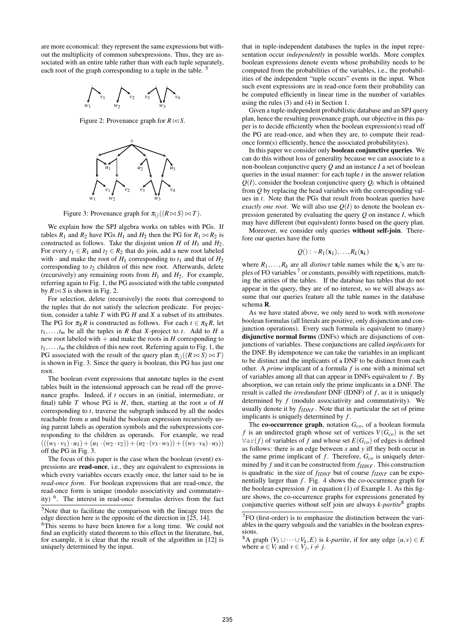are more economical: they represent the same expressions but without the multiplicity of common subexpressions. Thus, they are associated with an entire table rather than with each tuple separately, each root of the graph corresponding to a tuple in the table.<sup>5</sup>



Figure 2: Provenance graph for  $R \bowtie S$ .



Figure 3: Provenance graph for  $\pi_{\cap}((R \bowtie S) \bowtie T)$ .

We explain how the SPJ algebra works on tables with PGs. If tables  $R_1$  and  $R_2$  have PGs  $H_1$  and  $H_2$  then the PG for  $R_1 \bowtie R_2$  is constructed as follows. Take the disjoint union  $H$  of  $H_1$  and  $H_2$ . For every  $t_1 \in R_1$  and  $t_2 \in R_2$  that do join, add a new root labeled with  $\cdot$  and make the root of  $H_1$  corresponding to  $t_1$  and that of  $H_2$ corresponding to  $t_2$  children of this new root. Afterwards, delete (recursively) any remaining roots from  $H_1$  and  $H_2$ . For example, referring again to Fig. 1, the PG associated with the table computed by  $R \bowtie S$  is shown in Fig. 2.

For selection, delete (recursively) the roots that correspond to the tuples that do not satisfy the selection predicate. For projection, consider a table *T* with PG *H* and *X* a subset of its attributes. The PG for  $\pi_X R$  is constructed as follows. For each  $t \in \pi_X R$ , let  $t_1, \ldots, t_m$  be all the tuples in *R* that *X*-project to *t*. Add to *H* a new root labeled with  $+$  and make the roots in *H* corresponding to  $t_1, \ldots, t_m$  the children of this new root. Referring again to Fig. 1, the PG associated with the result of the query plan  $\pi_{\cap}((R \bowtie S) \bowtie T)$ is shown in Fig. 3. Since the query is boolean, this PG has just one root.

The boolean event expressions that annotate tuples in the event tables built in the intensional approach can be read off the provenance graphs. Indeed, if *t* occurs in an (initial, intermediate, or final) table *T* whose PG is *H*, then, starting at the root *u* of *H* corresponding to *t*, traverse the subgraph induced by all the nodes reachable from *u* and build the boolean expression recursively using parent labels as operation symbols and the subexpressions corresponding to the children as operands. For example, we read  $(((w_1 \cdot v_1) \cdot u_1) + (u_1 \cdot (w_2 \cdot v_2)) + (u_2 \cdot (v_3 \cdot w_3)) + ((w_3 \cdot v_4) \cdot u_3))$ off the PG in Fig. 3.

The focus of this paper is the case when the boolean (event) expressions are read-once, i.e., they are equivalent to expressions in which every variables occurs exactly once, the latter said to be in *read-once form*. For boolean expressions that are read-once, the read-once form is unique (modulo associativity and commutativity) <sup>6</sup> . The interest in read-once formulas derives from the fact

that in tuple-independent databases the tuples in the input representation occur *independently* in possible worlds. More complex boolean expressions denote events whose probability needs to be computed from the probabilities of the variables, i.e., the probabilities of the independent "tuple occurs" events in the input. When such event expressions are in read-once form their probability can be computed efficiently in linear time in the number of variables using the rules (3) and (4) in Section 1.

Given a tuple-independent probabilistic database and an SPJ query plan, hence the resulting provenance graph, our objective in this paper is to decide efficiently when the boolean expression(s) read off the PG are read-once, and when they are, to compute their readonce form(s) efficiently, hence the associated probability(es).

In this paper we consider only boolean conjunctive queries. We can do this without loss of generality because we can associate to a non-boolean conjunctive query *Q* and an instance *I* a set of boolean queries in the usual manner: for each tuple *t* in the answer relation  $Q(I)$ , consider the boolean conjunctive query  $O_t$  which is obtained from *Q* by replacing the head variables with the corresponding values in *t*. Note that the PGs that result from boolean queries have *exactly one root.* We will also use  $Q(I)$  to denote the boolean expression generated by evaluating the query *Q* on instance *I*, which may have different (but equivalent) forms based on the query plan.

Moreover, we consider only queries without self-join. Therefore our queries have the form

$$
Q() : -R_1(\mathbf{x}_1), \ldots, R_k(\mathbf{x}_k)
$$

where  $R_1, \ldots, R_k$  are all *distinct* table names while the  $x_i$ 's are tuples of FO variables  $<sup>7</sup>$  or constants, possibly with repetitions, match-</sup> ing the arities of the tables. If the database has tables that do not appear in the query, they are of no interest, so we will always assume that our queries feature all the table names in the database schema R.

As we have stated above, we only need to work with *monotone* boolean formulas (all literals are positive, only disjunction and conjunction operations). Every such formula is equivalent to (many) disjunctive normal forms (DNFs) which are disjunctions of conjunctions of variables. These conjunctions are called *implicants* for the DNF. By idempotence we can take the variables in an implicant to be distinct and the implicants of a DNF to be distinct from each other. A *prime* implicant of a formula *f* is one with a minimal set of variables among all that can appear in DNFs equivalent to *f* . By absorption, we can retain only the prime implicants in a DNF. The result is called *the irredundant* DNF (IDNF) of *f* , as it is uniquely determined by *f* (modulo associativity and commutativity). We usually denote it by *fIDNF* . Note that in particular the set of prime implicants is uniquely determined by *f* .

The co-occurrence graph, notation *Gco*, of a boolean formula *f* is an undirected graph whose set of vertices  $V(G_{co})$  is the set  $\text{Var}(f)$  of variables of f and whose set  $E(G_{co})$  of edges is defined as follows: there is an edge between *x* and *y* iff they both occur in the same prime implicant of *f*. Therefore,  $G_{CQ}$  is uniquely determined by  $\bar{f}$  and it can be constructed from  $f_{IDNF}$ . This construction is quadratic in the size of *fIDNF* but of course *fIDNF* can be exponentially larger than  $f$ . Fig. 4 shows the co-occurrence graph for the boolean expression  $f$  in equation (1) of Example 1. As this figure shows, the co-occurrence graphs for expressions generated by conjunctive queries without self join are always *k-partite*<sup>8</sup> graphs

 $\frac{5}{5}$ Note that to facilitate the comparison with the lineage trees the edge direction here is the opposite of the direction in [25, 14].

<sup>&</sup>lt;sup>6</sup>This seems to have been known for a long time. We could not find an explicitly stated theorem to this effect in the literature, but, for example, it is clear that the result of the algorithm in [12] is uniquely determined by the input.

 ${}^{7}$ FO (first-order) is to emphasize the distinction between the variables in the query subgoals and the variables in the boolean expressions.

<sup>&</sup>lt;sup>8</sup>A graph (*V*<sub>1</sub> ∪ ··· ∪ *V*<sub>*k*</sub>, *E*) is *k*-partite, if for any edge (*u*, *v*) ∈ *E* where  $u \in V_i$  and  $v \in V_j$ ,  $i \neq j$ .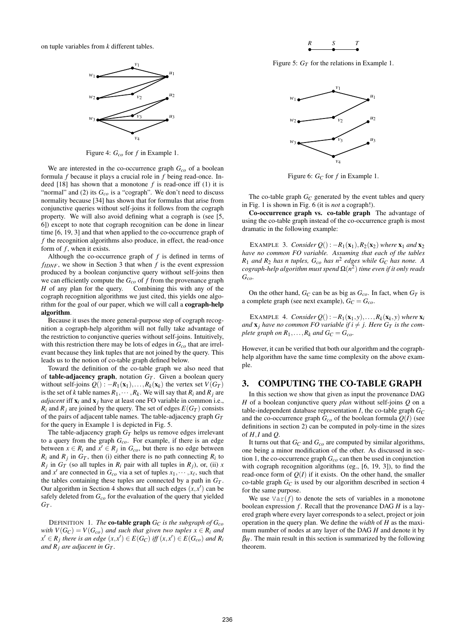on tuple variables from *k* different tables.



Figure 4: *Gco* for *f* in Example 1.

We are interested in the co-occurrence graph *Gco* of a boolean formula *f* because it plays a crucial role in *f* being read-once. Indeed  $[18]$  has shown that a monotone  $f$  is read-once iff  $(1)$  it is "normal" and (2) its  $G_{co}$  is a "cograph". We don't need to discuss normality because [34] has shown that for formulas that arise from conjunctive queries without self-joins it follows from the cograph property. We will also avoid defining what a cograph is (see [5, 6]) except to note that cograph recognition can be done in linear time [6, 19, 3] and that when applied to the co-occurrence graph of *f* the recognition algorithms also produce, in effect, the read-once form of *f*, when it exists.

Although the co-occurrence graph of *f* is defined in terms of  $f_{IDNF}$ , we show in Section 3 that when  $f$  is the event expression produced by a boolean conjunctive query without self-joins then we can efficiently compute the  $G_{co}$  of  $f$  from the provenance graph  $H$  of any plan for the query. Combining this with any of the Combining this with any of the cograph recognition algorithms we just cited, this yields one algorithm for the goal of our paper, which we will call a cograph-help algorithm.

Because it uses the more general-purpose step of cograph recognition a cograph-help algorithm will not fully take advantage of the restriction to conjunctive queries without self-joins. Intuitively, with this restriction there may be lots of edges in *Gco* that are irrelevant because they link tuples that are not joined by the query. This leads us to the notion of co-table graph defined below.

Toward the definition of the co-table graph we also need that of **table-adjacency graph**, notation  $G_T$ . Given a boolean query without self-joins  $Q()$ :  $-R_1(\mathbf{x}_1),...,R_k(\mathbf{x}_k)$  the vertex set  $V(G_T)$ is the set of *k* table names  $R_1, \dots, R_k$ . We will say that  $R_i$  and  $R_j$  are *adjacent* iff  $x_i$  and  $x_j$  have at least one FO variable in common i.e.,  $R_i$  and  $R_j$  are joined by the query. The set of edges  $E(G_T)$  consists of the pairs of adjacent table names. The table-adjacency graph *GT* for the query in Example 1 is depicted in Fig. 5.

The table-adjacency graph *GT* helps us remove edges irrelevant to a query from the graph *Gco*. For example, if there is an edge between  $x \in R_i$  and  $x' \in R_j$  in  $G_{co}$ , but there is no edge between  $R_i$  and  $R_j$  in  $G_T$ , then (i) either there is no path connecting  $R_i$  to  $R_j$  in  $G_T$  (so all tuples in  $R_i$  pair with all tuples in  $R_j$ ), or, (ii) *x* and  $x'$  are connected in  $G_{co}$  via a set of tuples  $x_1, \dots, x_\ell$ , such that the tables containing these tuples are connected by a path in  $G_T$ . Our algorithm in Section 4 shows that all such edges  $(x, x')$  can be safely deleted from *Gco* for the evaluation of the query that yielded  $G_T$ .

DEFINITION 1. *The* co-table graph *G<sup>C</sup> is the subgraph of Gco with*  $V(G_C) = V(G_{co})$  *and such that given two tuples*  $x \in R_i$  *and*  $x' \in R_j$  there is an edge  $(x, x') \in E(G_C)$  iff  $(x, x') \in E(G_{CO})$  and  $R_i$ *and*  $R_j$  *are adjacent in*  $G_T$ *.* 



Figure 5:  $G_T$  for the relations in Example 1.



Figure 6: *G<sup>C</sup>* for *f* in Example 1.

The co-table graph  $G_C$  generated by the event tables and query in Fig. 1 is shown in Fig. 6 (it is *not* a cograph!).

Co-occurrence graph vs. co-table graph The advantage of using the co-table graph instead of the co-occurrence graph is most dramatic in the following example:

EXAMPLE 3. *Consider*  $Q()$ :  $-R_1(\mathbf{x}_1), R_2(\mathbf{x}_2)$  *where*  $\mathbf{x}_1$  *and*  $\mathbf{x}_2$ *have no common FO variable. Assuming that each of the tables R*<sup>1</sup> *and R*<sup>2</sup> *has n tuples, Gco has n*<sup>2</sup> *edges while G<sup>C</sup> has none. A cograph-help algorithm must spend* Ω(*n* 2 ) *time even if it only reads*  $G_{co}$ .

On the other hand,  $G_C$  can be as big as  $G_{co}$ . In fact, when  $G_T$  is a complete graph (see next example),  $G_C = G_{co}$ .

EXAMPLE 4. *Consider*  $Q()$  :  $-R_1(\mathbf{x}_1, y), \ldots, R_k(\mathbf{x}_k, y)$  where  $\mathbf{x}_i$ *and*  $\mathbf{x}_i$  *have no common FO variable if*  $i \neq j$ *. Here*  $G_T$  *is the complete graph on*  $R_1, \ldots, R_k$  *and*  $G_C = G_{co}$ *.* 

However, it can be verified that both our algorithm and the cographhelp algorithm have the same time complexity on the above example.

#### 3. COMPUTING THE CO-TABLE GRAPH

In this section we show that given as input the provenance DAG *H* of a boolean conjunctive query *plan* without self-joins *Q* on a table-independent database representation *I*, the co-table graph *G<sup>C</sup>* and the co-occurrence graph  $G_{c0}$  of the boolean formula  $Q(I)$  (see definitions in section 2) can be computed in poly-time in the sizes of *H*,*I* and *Q*.

It turns out that  $G_C$  and  $G_{co}$  are computed by similar algorithms, one being a minor modification of the other. As discussed in section 1, the co-occurrence graph *Gco* can then be used in conjunction with cograph recognition algorithms (eg., [6, 19, 3]), to find the read-once form of  $O(I)$  if it exists. On the other hand, the smaller co-table graph  $G_C$  is used by our algorithm described in section 4 for the same purpose.

We use  $\text{Var}(f)$  to denote the sets of variables in a monotone boolean expression *f* . Recall that the provenance DAG *H* is a layered graph where every layer corresponds to a select, project or join operation in the query plan. We define the *width* of *H* as the maximum number of nodes at any layer of the DAG *H* and denote it by  $\beta$ <sub>H</sub>. The main result in this section is summarized by the following theorem.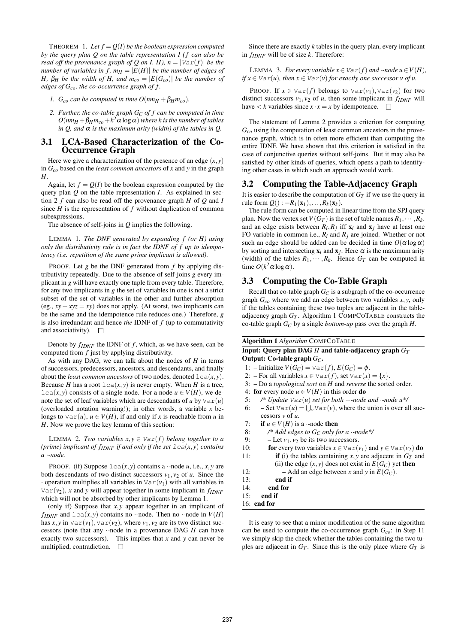THEOREM 1. Let  $f = Q(I)$  be the boolean expression computed *by the query plan Q on the table representation I (f can also be read off the provenance graph of Q on I, H), n* =  $|Var(f)|$  *be the number of variables in f,*  $m_H = |E(H)|$  *be the number of edges of H,*  $β$ *H be the width of H, and*  $m$ *<sub>co</sub> =*  $|E(G<sub>co</sub>)|$  *<i>be the number of edges of Gco, the co-occurrence graph of f .*

- *1.*  $G_{co}$  *can be computed in time*  $O(nm_H + \beta_H m_{co})$ *.*
- *2. Further, the co-table graph G<sup>C</sup> of f can be computed in time*  $O(nm_H + \beta_H m_{co} + k^2\alpha\log\alpha)$  where k is the number of tables *in Q, and* α *is the maximum arity (width) of the tables in Q.*

#### 3.1 LCA-Based Characterization of the Co-Occurrence Graph

Here we give a characterization of the presence of an edge  $(x, y)$ in *Gco* based on the *least common ancestors* of *x* and *y* in the graph *H*.

Again, let  $f = O(I)$  be the boolean expression computed by the query plan *Q* on the table representation *I*. As explained in section 2 *f* can also be read off the provenance graph *H* of *Q* and *I* since  $H$  is the representation of  $f$  without duplication of common subexpressions.

The absence of self-joins in *Q* implies the following.

LEMMA 1. *The DNF generated by expanding f (or H) using only the distributivity rule is in fact the IDNF of f up to idempotency (i.e. repetition of the same prime implicant is allowed).*

PROOF. Let *g* be the DNF generated from *f* by applying distributivity repeatedly. Due to the absence of self-joins *g* every implicant in *g* will have exactly one tuple from every table. Therefore, for any two implicants in *g* the set of variables in one is not a strict subset of the set of variables in the other and further absorption (eg.,  $xy + xyz = xy$ ) does not apply. (At worst, two implicants can be the same and the idempotence rule reduces one.) Therefore, *g* is also irredundant and hence *the* IDNF of *f* (up to commutativity and associativity).  $\square$ 

Denote by *fIDNF* the IDNF of *f* , which, as we have seen, can be computed from *f* just by applying distributivity.

As with any DAG, we can talk about the nodes of *H* in terms of successors, predecessors, ancestors, and descendants, and finally about the *least common ancestors* of two nodes, denoted  $lca(x, y)$ . Because *H* has a root  $lca(x, y)$  is never empty. When *H* is a tree,  $lca(x, y)$  consists of a single node. For a node  $u \in V(H)$ , we denote the set of leaf variables which are descendants of  $u$  by  $Var(u)$ (overloaded notation warning!); in other words, a variable *x* belongs to  $\forall$ a $\Upsilon$ (*u*),  $u \in V(H)$ , if and only if *x* is reachable from *u* in *H*. Now we prove the key lemma of this section:

LEMMA 2. *Two variables*  $x, y \in \text{Var}(f)$  *belong together to a (prime) implicant of*  $f_{IDNF}$  *if and only if the set*  $lca(x, y)$  *contains a* ·*-node.*

PROOF. (if) Suppose  $lca(x, y)$  contains a  $\cdot$ -node *u*, i.e., *x*, *y* are both descendants of two distinct successors  $v_1$ ,  $v_2$  of *u*. Since the  $\cdot$  operation multiplies all variables in  $\text{Var}(v_1)$  with all variables in  $Var(v_2)$ , *x* and *y* will appear together in some implicant in *f<sub>IDNF</sub>* which will not be absorbed by other implicants by Lemma 1.

(only if) Suppose that *x*, *y* appear together in an implicant of *fIDNF* and  $lca(x, y)$  contains no  $\cdot$ -node. Then no  $\cdot$ -node in  $V(H)$ has *x*, *y* in  $\text{Var}(v_1)$ ,  $\text{Var}(v_2)$ , where  $v_1$ ,  $v_2$  are its two distinct successors (note that any ·-node in a provenance DAG *H* can have exactly two successors). This implies that *x* and *y* can never be multiplied, contradiction.  $\Box$ 

Since there are exactly *k* tables in the query plan, every implicant in *fIDNF* will be of size *k*. Therefore:

LEMMA 3. *For every variable*  $x \in \text{Var}(f)$  *and*  $\cdot$ *-node*  $u \in V(H)$ *, if*  $x \in \text{Var}(u)$ *, then*  $x \in \text{Var}(v)$  *for exactly one successor*  $v$  *of*  $u$ *.* 

**PROOF.** If  $x \in \text{Var}(f)$  belongs to  $\text{Var}(v_1)$ ,  $\text{Var}(v_2)$  for two distinct successors  $v_1, v_2$  of *u*, then some implicant in  $f_{IDNF}$  will have  $\lt k$  variables since  $x \cdot x = x$  by idempotence.  $\Box$ 

The statement of Lemma 2 provides a criterion for computing  $G_{co}$  using the computation of least common ancestors in the provenance graph, which is in often more efficient than computing the entire IDNF. We have shown that this criterion is satisfied in the case of conjunctive queries without self-joins. But it may also be satisfied by other kinds of queries, which opens a path to identifying other cases in which such an approach would work.

#### 3.2 Computing the Table-Adjacency Graph

It is easier to describe the computation of  $G_T$  if we use the query in rule form  $Q()$ :  $-R_1(\mathbf{x}_1),...,R_k(\mathbf{x}_k)$ .

The rule form can be computed in linear time from the SPJ query plan. Now the vertex set  $V(G_T)$  is the set of table names  $R_1, \dots, R_k$ . and an edge exists between  $R_i, R_j$  iff  $\mathbf{x}_i$  and  $\mathbf{x}_j$  have at least one FO variable in common i.e.,  $R_i$  and  $R_j$  are joined. Whether or not such an edge should be added can be decided in time  $O(\alpha \log \alpha)$ by sorting and intersecting  $\mathbf{x}_i$  and  $\mathbf{x}_j$ . Here  $\alpha$  is the maximum arity (width) of the tables  $R_1, \dots, R_k$ . Hence  $G_T$  can be computed in time  $O(k^2 \alpha \log \alpha)$ .

## 3.3 Computing the Co-Table Graph

Recall that co-table graph  $G_C$  is a subgraph of the co-occurrence graph  $G_{co}$  where we add an edge between two variables  $x, y$ , only if the tables containing these two tuples are adjacent in the tableadjacency graph *GT* . Algorithm 1 COMPCOTABLE constructs the co-table graph  $G_C$  by a single *bottom-up* pass over the graph *H*.

| <b>Algorithm 1 Algorithm COMPCOTABLE</b>                |
|---------------------------------------------------------|
| Input: Ouery plan DAG H and table-adjacency graph $G_T$ |
| Output: Co-table graph $G_C$ .                          |

1: – Initialize  $V(G_C) = \text{Var}(f), E(G_C) = \phi$ .

- 2: For all variables  $x \in \text{Var}(f)$ , set  $\text{Var}(x) = \{x\}$ .
- 3: Do a *topological sort* on *H* and *reverse* the sorted order.
- 
- 4: **for** every node  $u \in V(H)$  in this order **do**<br>5: /\* *Update*  $Var(u)$  *set for both* +-*node* 5: */\* Update* Var(*u*) *set for both* +*-node and* ·*-node u\*/*
- 6:  $-$  Set  $\text{Var}(u) = \bigcup_{v} \text{Var}(v)$ , where the union is over all successors *v* of *u*.
- 7: if  $u \in V(H)$  is a ·-node then
- 
- 8: /\* *Add edges to G<sub>C</sub> only for a ·-node\*/*<br>9:  $-$ Let  $v_1, v_2$  be its two successors.
- 9:  $-\text{Let } v_1, v_2 \text{ be its two successors.}$ <br>10: **for** every two variables  $x \in \text{Var}(v_1, v_2)$
- 10: **for** every two variables  $x \in \text{Var}(v_1)$  and  $y \in \text{Var}(v_2)$  **do**<br>11: **if** (i) the tables containing *x*, *y* are adiacent in  $G_T$  and if (i) the tables containing  $x, y$  are adjacent in  $G_T$  and (ii) the edge  $(x, y)$  does not exist in  $E(G_C)$  yet then 12:  $-$  Add an edge between *x* and *y* in  $E(G_C)$ .<br>13: **end if** end if

14: end for

15: end if

16: end for

It is easy to see that a minor modification of the same algorithm can be used to compute the co-occurrence graph *Gco*: in Step 11 we simply skip the check whether the tables containing the two tuples are adjacent in  $G_T$ . Since this is the only place where  $G_T$  is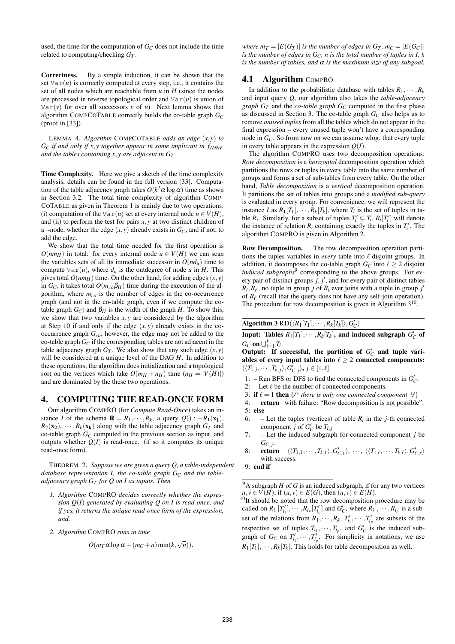used, the time for the computation of  $G_C$  does not include the time related to computing/checking *GT* .

Correctness. By a simple induction, it can be shown that the set  $\text{Var}(u)$  is correctly computed at every step, i.e., it contains the set of all nodes which are reachable from  $u$  in  $H$  (since the nodes are processed in reverse topological order and  $\text{Var}(u)$  is union of  $Var(v)$  for over all successors *v* of *u*). Next lemma shows that algorithm COMPCOTABLE correctly builds the co-table graph *G<sup>C</sup>* (proof in [33]).

LEMMA 4. *Algorithm* COMPCOTABLE *adds an edge* (*x*, *y*) *to G<sup>C</sup> if and only if x*, *y together appear in some implicant in fIDNF and the tables containing x*, *y are adjacent in G<sup>T</sup> .*

Time Complexity. Here we give a sketch of the time complexity analysis, details can be found in the full version [33]. Computation of the table adjacency graph takes  $O(k^2 \alpha \log \alpha)$  time as shown in Section 3.2. The total time complexity of algorithm COMP-COTABLE as given in Theorem 1 is mainly due to two operations: (i) computation of the  $\text{Var}(u)$  set at every internal node  $u \in V(H)$ , and (ii) to perform the test for pairs  $x, y$  at two distinct children of a  $\cdot$ -node, whether the edge  $(x, y)$  already exists in  $G_C$ , and if not, to add the edge.

We show that the total time needed for the first operation is *O*( $nm_H$ ) in total: for every internal node  $u \in V(H)$  we can scan the variables sets of all its immediate successor in  $O(nd_u)$  time to compute  $\text{Var}(u)$ , where  $d_u$  is the outdegree of node *u* in *H*. This gives total  $O(nm<sub>H</sub>)$  time. On the other hand, for adding edges  $(x, y)$ in  $G_C$ , it takes total  $O(m_{co} \beta_H)$  time during the execution of the algorithm, where  $m_{co}$  is the number of edges in the co-occurrence graph (and not in the co-table graph, even if we compute the cotable graph  $G_C$ ) and  $\beta_H$  is the width of the graph *H*. To show this, we show that two variables  $x, y$  are considered by the algorithm at Step 10 if and only if the edge  $(x, y)$  already exists in the cooccurrence graph *Gco*, however, the edge may not be added to the co-table graph *G<sup>C</sup>* if the corresponding tables are not adjacent in the table adjacency graph  $G_T$ . We also show that any such edge  $(x, y)$ will be considered at a unique level of the DAG *H*. In addition to these operations, the algorithm does initialization and a topological sort on the vertices which take  $O(m_H + n_H)$  time  $(n_H = |V(H)|)$ and are dominated by the these two operations.

## 4. COMPUTING THE READ-ONCE FORM

Our algorithm COMPRO (for *Compute Read-Once*) takes an instance *I* of the schema  $\mathbf{R} = R_1, \dots, R_k$ , a query  $Q() : -R_1(\mathbf{x}_1)$ ,  $R_2$ (**x**<sub>2</sub>),  $\cdots$ ,  $R_k$ (**x**<sub>k</sub>) along with the table adjacency graph  $G_T$  and co-table graph *G<sup>C</sup>* computed in the previous section as input, and outputs whether  $Q(I)$  is read-once. (if so it computes its unique read-once form).

THEOREM 2. *Suppose we are given a query Q, a table-independent database representation I, the co-table graph G<sup>C</sup> and the tableadjacency graph GT for Q on I as inputs. Then*

- *1. Algorithm* COMPRO *decides correctly whether the expression Q*(*I*) *generated by evaluating Q on I is read-once, and if yes, it returns the unique read-once form of the expression, and,*
- *2. Algorithm* COMPRO *runs in time*

$$
O(m_T \alpha \log \alpha + (m_C + n) \min(k, \sqrt{n})),
$$

*where*  $m_T = |E(G_T)|$  *is the number of edges in*  $G_T$ *,*  $m_C = |E(G_C)|$ *is the number of edges in GC, n is the total number of tuples in I, k is the number of tables, and*  $\alpha$  *is the maximum size of any subgoal.* 

#### 4.1 Algorithm COMPRO

In addition to the probabilistic database with tables  $R_1, \dots, R_k$ and input query *Q*, our algorithm also takes the *table-adjacency graph*  $G_T$  and the *co-table graph*  $G_C$  computed in the first phase as discussed in Section 3. The co-table graph  $G_C$  also helps us to remove *unused tuples* from all the tables which do not appear in the final expression – every unused tuple won't have a corresponding node in *GC*. So from now on we can assume wlog. that every tuple in every table appears in the expression  $Q(I)$ .

The algorithm COMPRO uses two decomposition operations: *Row decomposition* is a *horizontal* decomposition operation which partitions the rows or tuples in every table into the same number of groups and forms a set of sub-tables from every table. On the other hand, *Table decomposition* is a *vertical* decomposition operation. It partitions the set of tables into groups and a *modified sub-query* is evaluated in every group. For convenience, we will represent the instance *I* as  $R_1[T_1], \cdots, R_k[T_k]$ , where  $T_i$  is the set of tuples in table  $R_i$ . Similarly, for a subset of tuples  $T_i' \subseteq T_i$ ,  $R_i[T_i']$  will denote the instance of relation  $R_i$  containing exactly the tuples in  $T'_i$ . The algorithm COMPRO is given in Algorithm 2.

Row Decomposition. The row decomposition operation partitions the tuples variables in *every* table into  $\ell$  disjoint groups. In addition, it decomposes the co-table graph  $G_C$  into  $\ell \geq 2$  disjoint induced subgraphs<sup>9</sup> corresponding to the above groups. For every pair of distinct groups  $j, j'$ , and for every pair of distinct tables  $R_i, R_{i'}$ , no tuple in group *j* of  $R_i$  ever joins with a tuple in group *j* of  $R_i$ <sup>*i*</sup> (recall that the query does not have any self-join operation). The procedure for row decomposition is given in Algorithm  $3^{10}$ .

# Algorithm 3 RD( $\langle R_1[T_1],\cdots,R_k[T_k]\rangle,G_C'$ )

Input: Tables  $R_1[T_1], \cdots, R_k[T_k]$ , and induced subgraph  $G_C'$  of  $G_C$  on  $\bigcup_{i=1}^k T_i$ 

Output: If successful, the partition of  $G_C$  and tuple variables of every input tables into  $\ell \geq 2$  connected components:  $\langle \langle T_{1,j},\cdots,T_{k,j}\rangle,G_{C,j}^{j}\rangle$ ,  $j\in[1,\ell]$ 

- 1: Run BFS or DFS to find the connected components in  $G_C'$ .
- 2:  $-Let \ell$  be the number of connected components.
- 3: **if**  $\ell = 1$  **then**  $\{$ /\* *there is only one connected component* \*/}
- 4: return with failure: "Row decomposition is not possible". 5: else
- 6: Let the tuples (vertices) of table  $R_i$  in the *j*-th connected component  $j$  of  $G_C$  be  $T_{i,j}$
- 7: Let the induced subgraph for connected component *j* be  $G_{C, j}$ .
- 8: **return**  $\langle \langle T_{1,1},\cdots,T_{k,1}\rangle,G'_{C,1}\rangle$ ,  $\cdots$ ,  $\langle \langle T_{1,\ell},\cdots,T_{k,\ell}\rangle,G'_{C,\ell}\rangle$ with success.

<sup>10</sup>It should be noted that the row decomposition procedure may be called on  $R_{i_1}[T'_{i_1}], \cdots, R_{i_p}[T'_{i_p}]$  and  $G'_{C}$ , where  $R_{i_1}, \cdots, R_{i_p}$  is a subset of the relations from  $R_1, \dots, R_k, T'_{i_1}, \dots, T'_{i_p}$  are subsets of the respective set of tuples  $T_{i_1}, \dots, T_{i_p}$ , and  $G'_C$  is the induced subgraph of  $G_C$  on  $T'_{i_1}, \dots, T'_{i_p}$ . For simplicity in notations, we use  $R_1[T_1], \cdots, R_k[T_k]$ . This holds for table decomposition as well.

<sup>9:</sup> end if

 $9A$  subgraph *H* of *G* is an induced subgraph, if for any two vertices *u*, *v* ∈ *V*(*H*), if (*u*, *v*) ∈ *E*(*G*), then (*u*, *v*) ∈ *E*(*H*).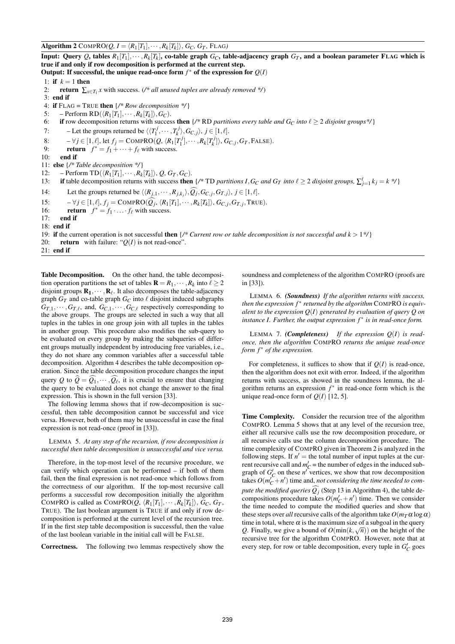#### $\mathbf{Algorithm \ 2\ COMPRO}(Q, I = \langle R_1[T_1], \cdots, R_k[T_k] \rangle, \, G_C, \, G_T, \, \text{FLAG})$

Input: Query *Q*, tables  $R_1[T_1],\cdots,R_k[T_k]$ , co-table graph  $G_C$ , table-adjacency graph  $G_T$ , and a boolean parameter FLAG which is true if and only if row decomposition is performed at the current step. Output: If successful, the unique read-once form  $f^*$  of the expression for  $Q(I)$ 1: if  $k=1$  then 2: **return**  $\sum_{x \in T_1} x$  with success. (*/\* all unused tuples are already removed \*/*) 3: end if 4: if FLAG = TRUE then {*/\* Row decomposition \*/*} 5: – Perform  $RD(\langle R_1[T_1], \cdots, R_k[T_k] \rangle, G_C)$ . 6: if row decomposition returns with success then  $\{$ /\* RD *partitions every table and*  $G_C$  *into*  $\ell \geq 2$  *disjoint groups*\*/ $\}$ 7: – Let the groups returned be  $\langle \langle T_1^j, \cdots, T_k^j \rangle, G_{C,j} \rangle, j \in [1, \ell].$ 8:  $-\forall j \in [1, \ell], \text{let } f_j = \text{COMPRO}(Q, \langle R_1[T_1^j], \cdots, R_k[T_k^j] \rangle, G_{C,j}, G_T, \text{FALSE}).$ 9: **return**  $f^* = f_1 + \cdots + f_\ell$  with success. 10: end if 11: else {*/\* Table decomposition \*/*} 12: – Perform  $TD(\langle R_1[T_1], \cdots, R_k[T_k] \rangle, Q, G_T, G_C)$ . 13: if table decomposition returns with success then  $\{/* TD \ partitions I, G_C \ and \ G_T \ into \ \ell \geq 2 \ disjoint \ groups, \ \sum_{j=1}^{\ell} k_j = k \ */\}$ 14: Let the groups returned be  $\langle \langle R_{j,1},\cdots,R_{j,k_j} \rangle, Q_j, G_{C,j}, G_{T,j} \rangle, j \in [1,\ell].$ 15:  $-\forall j \in [1, \ell], f_j = \text{COMPRO}(Q_j, \langle R_1[T_1], \cdots, R_k[T_k] \rangle, G_{C,j}, G_{T,j}, \text{TRUE}).$ 16: **return**  $f^* = f_1 \cdot \ldots \cdot f_\ell$  with success. 17: end if 18: end if 19: if the current operation is not successful then {*/\* Current row or table decomposition is not successful and k* > 1*\*/*} 20: **return** with failure: " $Q(I)$  is not read-once". 21: end if

Table Decomposition. On the other hand, the table decomposition operation partitions the set of tables  $\mathbf{R} = R_1, \dots, R_k$  into  $\ell \geq 2$ disjoint groups  $\mathbf{R}_1, \dots, \mathbf{R}_\ell$ . It also decomposes the table-adjacency graph  $G_T$  and co-table graph  $G_C$  into  $\ell$  disjoint induced subgraphs  $G_{T,1}, \cdots, G_{T,\ell}$ , and,  $G_{C,1}, \cdots, G_{C,\ell}$  respectively corresponding to the above groups. The groups are selected in such a way that all tuples in the tables in one group join with all tuples in the tables in another group. This procedure also modifies the sub-query to be evaluated on every group by making the subqueries of different groups mutually independent by introducing free variables, i.e., they do not share any common variables after a successful table decomposition. Algorithm 4 describes the table decomposition operation. Since the table decomposition procedure changes the input query *Q* to  $Q = Q_1, \dots, Q_\ell$ , it is crucial to ensure that changing the query to be evaluated does not change the answer to the final expression. This is shown in the full version [33].

The following lemma shows that if row-decomposition is successful, then table decomposition cannot be successful and vice versa. However, both of them may be unsuccessful in case the final expression is not read-once (proof in [33]).

LEMMA 5. *At any step of the recursion, if row decomposition is successful then table decomposition is unsuccessful and vice versa.*

Therefore, in the top-most level of the recursive procedure, we can verify which operation can be performed – if both of them fail, then the final expression is not read-once which follows from the correctness of our algorithm. If the top-most recursive call performs a successful row decomposition initially the algorithm COMPRO is called as COMPRO(*Q*,  $\langle R_1[T_1], \cdots, R_k[T_k] \rangle$ , *G<sub>C</sub>*, *G<sub>T</sub>*, TRUE). The last boolean argument is TRUE if and only if row decomposition is performed at the current level of the recursion tree. If in the first step table decomposition is successful, then the value of the last boolean variable in the initial call will be FALSE.

Correctness. The following two lemmas respectively show the

soundness and completeness of the algorithm COMPRO (proofs are in [33]).

LEMMA 6. *(Soundness) If the algorithm returns with success, then the expression f<sup>\*</sup> returned by the algorithm* COMPRO *is equiv alent to the expression Q*(*I*) *generated by evaluation of query Q on instance I. Further, the output expression*  $f$ <sup>∗</sup> *is in read-once form.* 

LEMMA 7. *(Completeness) If the expression Q*(*I*) *is readonce, then the algorithm* COMPRO *returns the unique read-once form*  $f^*$  *of the expression.* 

For completeness, it suffices to show that if  $Q(I)$  is read-once, then the algorithm does not exit with error. Indeed, if the algorithm returns with success, as showed in the soundness lemma, the algorithm returns an expression  $f^*$  in read-once form which is the unique read-once form of  $Q(I)$  [12, 5].

Time Complexity. Consider the recursion tree of the algorithm COMPRO. Lemma 5 shows that at any level of the recursion tree, either all recursive calls use the row decomposition procedure, or all recursive calls use the column decomposition procedure. The time complexity of COMPRO given in Theorem 2 is analyzed in the following steps. If  $n'$  = the total number of input tuples at the current recursive call and  $m'_C$  = the number of edges in the induced subgraph of  $G_C$  on these  $n'$  vertices, we show that row decomposition takes  $O(m_C'+n')$  time and, *not considering the time needed to compute the modified queries*  $\widehat{Q_i}$  (Step 13 in Algorithm 4), the table decompositions procedure takes  $O(m_C' + n')$  time. Then we consider the time needed to compute the modified queries and show that these steps over *all* recursive calls of the algorithm take  $O(m<sub>T</sub> \alpha \log \alpha)$ time in total, where  $\alpha$  is the maximum size of a subgoal in the query *Q*. Finally, we give a bound of  $O(\min(k, \sqrt{n}))$  on the height of the recursive tree for the algorithm COMPRO. However, note that at every step, for row or table decomposition, every tuple in  $G_C$  goes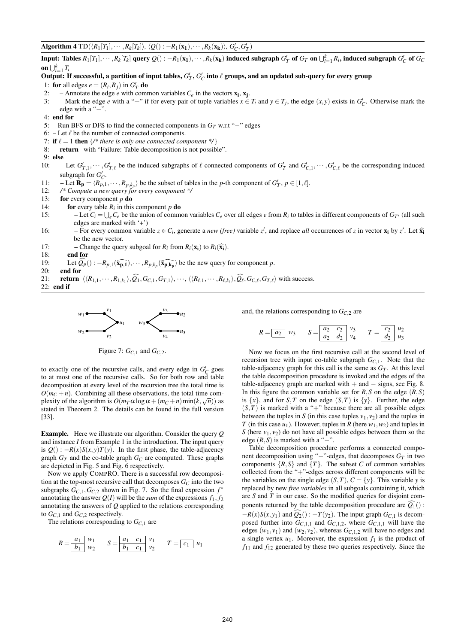# Algorithm 4  $\text{TD}(\langle R_1[T_1], \cdots, R_k[T_k] \rangle, \langle Q() : -R_1(\mathbf{x_1}), \cdots, R_k(\mathbf{x_k}) \rangle, G'_C, G'_T)$

Input: Tables  $R_1[T_1],\cdots,R_k[T_k]$  query  $\mathcal{Q}():-R_1(\mathbf{x_1}),\cdots,R_k(\mathbf{x_k})$  induced subgraph  $G_T'$  of  $G_T$  on  $\bigcup_{i=1}^k R_i$ , induced subgraph  $G_C'$  of  $G_C$ on  $\bigcup_{i=1}^k T_i$ 

Output: If successful, a partition of input tables,  $G'_T$ ,  $G'_C$  into  $\ell$  groups, and an updated sub-query for every group

- 1: for all edges  $e = (R_i, R_j)$  in  $G'_T$  do
- 2:  $-$  Annotate the edge *e* with common variables  $C_e$  in the vectors  $\mathbf{x_i}$ ,  $\mathbf{x_j}$ .
- 3: Mark the edge *e* with a "+" if for every pair of tuple variables  $x \in T_i$  and  $y \in T_j$ , the edge  $(x, y)$  exists in  $G_C'$ . Otherwise mark the edge with a "−".
- 4: end for
- 5: Run BFS or DFS to find the connected components in  $G_T$  w.r.t "–" edges
- 6:  $-Let \ell$  be the number of connected components.
- 7: **if**  $\ell = 1$  then  $\{$ /\* there is only one connected component \*/}
- 8: return with "Failure: Table decomposition is not possible".
- 9: else

10:  $-\text{Let } G'_{T,1}, \dots, G'_{T,\ell}$  be the induced subgraphs of  $\ell$  connected components of  $G'_{T}$  and  $G'_{C,1}, \dots, G'_{C,\ell}$  be the corresponding induced subgraph for  $G_C'$ .

11:  $-\text{Let } \mathbf{R_p} = \langle R_{p,1}^{\vee}, \cdots, R_{p,k_p} \rangle$  be the subset of tables in the *p*-th component of  $G'_T$ ,  $p \in [1,\ell]$ .

- 12: */\* Compute a new query for every component \*/*
- 13: for every component *p* do
- 14: **for** every table  $R_i$  in this component  $p$  do
- 15:  $-\text{Let } C_i = \bigcup_e C_e$  be the union of common variables  $C_e$  over all edges *e* from  $R_i$  to tables in different components of  $G_{T'}$  (all such edges are marked with '+')
- 16: For every common variable  $z \in C_i$ , generate a *new (free)* variable  $z^i$ , and replace *all* occurrences of *z* in vector  $\mathbf{x_i}$  by  $z'$ . Let  $\hat{\mathbf{x}}_i$ be the new vector.
- 17: Change the query subgoal for  $R_i$  from  $R_i(\mathbf{x_i})$  to  $R_i(\hat{\mathbf{x_i}})$ .<br>18: **end for**
- 18: **end for**<br>19: Let  $\widehat{O_n}$
- 19: Let  $\widehat{Q}_p()$ :  $-R_{p,1}(\widehat{\mathbf{x}_{p,1}}), \cdots, R_{p,k_p}(\widehat{\mathbf{x}_{p,k_p}})$  be the new query for component *p*.
- 20: end for
- 21: return  $\langle \langle R_{1,1},\cdots,R_{1,k_1} \rangle, Q_1, G_{C,1}, G_{T,1} \rangle, \cdots, \langle \langle R_{\ell,1},\cdots,R_{\ell,k_\ell} \rangle, Q_\ell, G_{C,\ell}, G_{T,\ell} \rangle$  with success.
- 22: end if



Figure 7:  $G_{C,1}$  and  $G_{C,2}$ .

to exactly one of the recursive calls, and every edge in  $G_C$  goes to at most one of the recursive calls. So for both row and table decomposition at every level of the recursion tree the total time is  $O(m_C + n)$ . Combining all these observations, the total time complexity of the algorithm is  $O(m_T \alpha \log \alpha + (m_C + n) \min(k, \sqrt{n}))$  as stated in Theorem 2. The details can be found in the full version [33].

Example. Here we illustrate our algorithm. Consider the query *Q* and instance *I* from Example 1 in the introduction. The input query is  $Q()$ :  $-R(x)S(x, y)T(y)$ . In the first phase, the table-adjacency graph  $G_T$  and the co-table graph  $G_C$  are computed. These graphs are depicted in Fig. 5 and Fig. 6 respectively.

Now we apply COMPRO. There is a successful row decomposition at the top-most recursive call that decomposes  $G_C$  into the two subgraphs  $G_{C,1}$ ,  $G_{C,2}$  shown in Fig. 7. So the final expression  $f^*$ annotating the answer  $Q(I)$  will be the *sum* of the expressions  $f_1, f_2$ annotating the answers of *Q* applied to the relations corresponding to  $G_{C,1}$  and  $G_{C,2}$  respectively.

The relations corresponding to  $G_{C,1}$  are

*R* = *a*<sup>1</sup> *w*<sup>1</sup> *b*<sup>1</sup> *w*<sup>2</sup> *S* = *a*<sup>1</sup> *c*<sup>1</sup> *v*<sup>1</sup> *b*<sup>1</sup> *c*<sup>1</sup> *v*<sup>2</sup> *T* = *c*<sup>1</sup> *u*<sup>1</sup>

and, the relations corresponding to  $G_{C,2}$  are

$$
R = \boxed{a_2} \quad w_3 \qquad S = \boxed{\frac{a_2 \quad c_2}{a_2 \quad d_2}} \quad v_3 \qquad T = \boxed{\frac{c_2}{d_2}} \quad u_2
$$

Now we focus on the first recursive call at the second level of recursion tree with input co-table subgraph  $G_{C,1}$ . Note that the table-adjacency graph for this call is the same as  $G_T$ . At this level the table decomposition procedure is invoked and the edges of the table-adjacency graph are marked with  $+$  and  $-$  signs, see Fig. 8. In this figure the common variable set for  $R$ ,  $S$  on the edge  $(R, S)$ is  $\{x\}$ , and for *S*, *T* on the edge  $(S, T)$  is  $\{y\}$ . Further, the edge  $(S,T)$  is marked with a "+" because there are all possible edges between the tuples in *S* (in this case tuples  $v_1$ ,  $v_2$ ) and the tuples in *T* (in this case  $u_1$ ). However, tuples in *R* (here  $w_1, w_2$ ) and tuples in *S* (here  $v_1$ ,  $v_2$ ) do not have all possible edges between them so the edge  $(R, S)$  is marked with a " $-$ ".

Table decomposition procedure performs a connected component decomposition using "−"-edges, that decomposes *G<sup>T</sup>* in two components  $\{R, S\}$  and  $\{T\}$ . The subset *C* of common variables collected from the "+"-edges across different components will be the variables on the single edge  $(S, T)$ ,  $C = \{y\}$ . This variable *y* is replaced by new *free variables* in all subgoals containing it, which are *S* and *T* in our case. So the modified queries for disjoint components returned by the table decomposition procedure are  $Q_1()$ :  $-R(x)S(x, y_1)$  and  $\widehat{Q_2}(): -T(y_2)$ . The input graph  $G_{C,1}$  is decomposed further into  $G_{C,1,1}$  and  $G_{C,1,2}$ , where  $G_{C,1,1}$  will have the edges  $(w_1, v_1)$  and  $(w_2, v_2)$ , whereas  $G_{C,1,2}$  will have no edges and a single vertex  $u_1$ . Moreover, the expression  $f_1$  is the product of *f*<sup>11</sup> and *f*<sup>12</sup> generated by these two queries respectively. Since the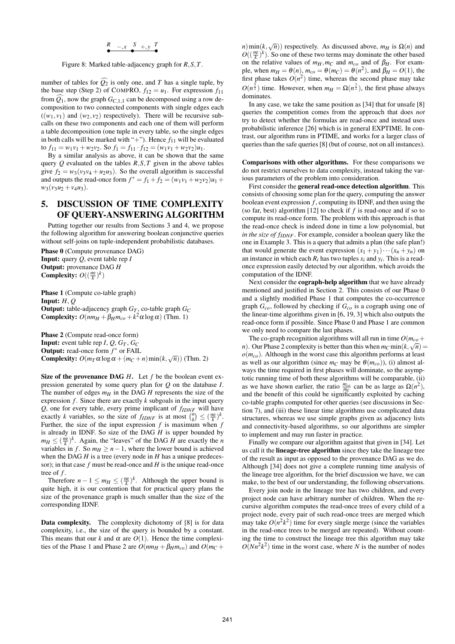$$
\begin{array}{cc} R & - , x & S & + , y & T \end{array}
$$

Figure 8: Marked table-adjacency graph for *R*,*S*,*T*.

number of tables for  $\overline{Q_2}$  is only one, and *T* has a single tuple, by the base step (Step 2) of COMPRO,  $f_{12} = u_1$ . For expression  $f_{11}$ from  $\widehat{Q}_1$ , now the graph  $G_{C,1,1}$  can be decomposed using a row decomposition to two connected components with single edges each  $((w_1, v_1)$  and  $(w_2, v_2)$  respectively). There will be recursive subcalls on these two components and each one of them will perform a table decomposition (one tuple in every table, so the single edges in both calls will be marked with "+"). Hence  $f_{11}$  will be evaluated to  $f_{11} = w_1v_1 + w_2v_2$ . So  $f_1 = f_{11} \cdot f_{12} = (w_1v_1 + w_2v_2)u_1$ .

By a similar analysis as above, it can be shown that the same query  $Q$  evaluated on the tables  $R, S, T$  given in the above tables give  $f_2 = w_3(v_3v_4 + u_2u_3)$ . So the overall algorithm is successful and outputs the read-once form  $f^* = f_1 + f_2 = (w_1v_1 + w_2v_2)u_1 +$  $w_3(v_3u_2 + v_4u_3)$ .

# 5. DISCUSSION OF TIME COMPLEXITY OF QUERY-ANSWERING ALGORITHM

Putting together our results from Sections 3 and 4, we propose the following algorithm for answering boolean conjunctive queries without self-joins on tuple-independent probabilistic databases.

Phase 0 (Compute provenance DAG) Input: query *Q*, event table rep *I* Output: provenance DAG *H* Complexity:  $O((\frac{ne}{k})^k)$ 

Phase 1 (Compute co-table graph) Input: *H*, *Q* Output: table-adjacency graph *G<sup>T</sup>* , co-table graph *G<sup>C</sup>* **Complexity:**  $O(nm_H + \beta_H m_{co} + k^2 \alpha \log \alpha)$  (Thm. 1)

Phase 2 (Compute read-once form) **Input:** event table rep *I*,  $Q$ ,  $G_T$ ,  $G_C$ Output: read-once form *f* <sup>∗</sup> or FAIL **Complexity:**  $O(m_T \alpha \log \alpha + (m_C + n) \min(k, \sqrt{n}))$  (Thm. 2)

Size of the provenance DAG *H*. Let *f* be the boolean event expression generated by some query plan for *Q* on the database *I*. The number of edges  $m_H$  in the DAG *H* represents the size of the expression  $f$ . Since there are exactly  $k$  subgoals in the input query *Q*, one for every table, every prime implicant of *fIDNF* will have exactly *k* variables, so the size of  $f_{IDNF}$  is at most  ${n \choose k} \leq (\frac{ne}{k})^k$ . Further, the size of the input expression *f* is maximum when *f* is already in IDNF. So size of the DAG *H* is upper bounded by  $m_H \leq (\frac{ne}{k})^k$ . Again, the "leaves" of the DAG *H* are exactly the *n* variables in *f*. So  $m_H > n - 1$ , where the lower bound is achieved when the DAG *H* is a tree (every node in *H* has a unique predecessor); in that case *f* must be read-once and *H* is the unique read-once tree of *f* .

Therefore  $n-1 \le m_H \le (\frac{ne}{k})^k$ . Although the upper bound is quite high, it is our contention that for practical query plans the size of the provenance graph is much smaller than the size of the corresponding IDNF.

Data complexity. The complexity dichotomy of [8] is for data complexity, i.e., the size of the query is bounded by a constant. This means that our *k* and  $\alpha$  are  $O(1)$ . Hence the time complexities of the Phase 1 and Phase 2 are  $O(nm_H + \beta_H m_{co})$  and  $O(m_C +$ 

 $(n)$  min $(k, \sqrt{n})$ ) respectively. As discussed above,  $m_H$  is  $\Omega(n)$  and  $O((\frac{ne}{k})^k)$ . So one of these two terms may dominate the other based on the relative values of  $m_H, m_C$  and  $m_{co}$  and of  $\beta_H$ . For example, when  $m_H = \theta(n)$ ,  $m_{co} = \theta(m_C) = \theta(n^2)$ , and  $\beta_H = O(1)$ , the first phase takes  $O(n^2)$  time, whereas the second phase may take  $O(n^{\frac{5}{2}})$  time. However, when  $m_H = \Omega(n^{\frac{3}{2}})$ , the first phase always dominates.

In any case, we take the same position as [34] that for unsafe [8] queries the competition comes from the approach that does *not* try to detect whether the formulas are read-once and instead uses probabilistic inference [26] which is in general EXPTIME. In contrast, our algorithm runs in PTIME, and works for a larger class of queries than the safe queries [8] (but of course, not on all instances).

Comparisons with other algorithms. For these comparisons we do not restrict ourselves to data complexity, instead taking the various parameters of the problem into consideration.

First consider the general read-once detection algorithm. This consists of choosing some plan for the query, computing the answer boolean event expression *f* , computing its IDNF, and then using the (so far, best) algorithm [12] to check if *f* is read-once and if so to compute its read-once form. The problem with this approach is that the read-once check is indeed done in time a low polynomial, but *in the size of fIDNF* . For example, consider a boolean query like the one in Example 3. This is a query that admits a plan (the safe plan!) that would generate the event expression  $(x_1 + y_1) \cdots (x_n + y_n)$  on an instance in which each  $R_i$  has two tuples  $x_i$  and  $y_i$ . This is a readonce expression easily detected by our algorithm, which avoids the computation of the IDNF.

Next consider the cograph-help algorithm that we have already mentioned and justified in Section 2. This consists of our Phase 0 and a slightly modified Phase 1 that computes the co-occurrence graph *Gco*, followed by checking if *Gco* is a cograph using one of the linear-time algorithms given in [6, 19, 3] which also outputs the read-once form if possible. Since Phase 0 and Phase 1 are common we only need to compare the last phases.

The co-graph recognition algorithms will all run in time  $O(m_{co} + \sigma^2)$ *n*). Our Phase 2 complexity is better than this when  $m_C \min(k, \sqrt{n}) =$ *o*(*mco*). Although in the worst case this algorithm performs at least as well as our algorithm (since  $m_C$  may be  $\theta(m_{CO})$ ), (i) almost always the time required in first phases will dominate, so the asymptotic running time of both these algorithms will be comparable, (ii) as we have shown earlier, the ratio  $\frac{m_{co}}{m_{C}}$  can be as large as  $\Omega(n^2)$ , and the benefit of this could be significantly exploited by caching co-table graphs computed for other queries (see discussions in Section 7), and (iii) these linear time algorithms use complicated data structures, whereas we use simple graphs given as adjacency lists and connectivity-based algorithms, so our algorithms are simpler to implement and may run faster in practice.

Finally we compare our algorithm against that given in [34]. Let us call it the lineage-tree algorithm since they take the lineage tree of the result as input as opposed to the provenance DAG as we do. Although [34] does not give a complete running time analysis of the lineage tree algorithm, for the brief discussion we have, we can make, to the best of our understanding, the following observations.

Every join node in the lineage tree has two children, and every project node can have arbitrary number of children. When the recursive algorithm computes the read-once trees of every child of a project node, every pair of such read-once trees are merged which may take  $O(n^2k^2)$  time for every single merge (since the variables in the read-once trees to be merged are repeated). Without counting the time to construct the lineage tree this algorithm may take  $O(Nn^2k^2)$  time in the worst case, where *N* is the number of nodes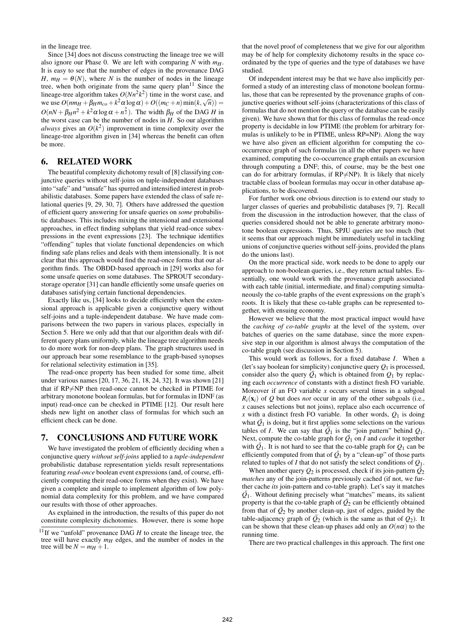in the lineage tree.

Since [34] does not discuss constructing the lineage tree we will also ignore our Phase 0. We are left with comparing  $N$  with  $m_H$ . It is easy to see that the number of edges in the provenance DAG *H*,  $m_H = \theta(N)$ , where *N* is the number of nodes in the lineage tree, when both originate from the same query plan<sup>11</sup> Since the lineage-tree algorithm takes  $O(Nn^2k^2)$  time in the worst case, and we use  $O(nm_H + \beta_H m_{co} + k^2 \alpha \log \alpha) + O((m_C + n) \min(k, \sqrt{n})) =$  $O(nN + \beta_H n^2 + k^2 \alpha \log \alpha + n^{\frac{5}{2}})$ . The width  $\beta_H$  of the DAG *H* in the worst case can be the number of nodes in *H*. So our algorithm *always* gives an  $O(k^2)$  improvement in time complexity over the lineage-tree algorithm given in [34] whereas the benefit can often be more.

## 6. RELATED WORK

The beautiful complexity dichotomy result of [8] classifying conjunctive queries without self-joins on tuple-independent databases into "safe" and "unsafe" has spurred and intensified interest in probabilistic databases. Some papers have extended the class of safe relational queries [9, 29, 30, 7]. Others have addressed the question of efficient query answering for unsafe queries on *some* probabilistic databases. This includes mixing the intensional and extensional approaches, in effect finding subplans that yield read-once subexpressions in the event expressions [23]. The technique identifies "offending" tuples that violate functional dependencies on which finding safe plans relies and deals with them intensionally. It is not clear that this approach would find the read-once forms that our algorithm finds. The OBDD-based approach in [29] works also for some unsafe queries on some databases. The SPROUT secondarystorage operator [31] can handle efficiently some unsafe queries on databases satisfying certain functional dependencies.

Exactly like us, [34] looks to decide efficiently when the extensional approach is applicable given a conjunctive query without self-joins and a tuple-independent database. We have made comparisons between the two papers in various places, especially in Section 5. Here we only add that that our algorithm deals with different query plans uniformly, while the lineage tree algorithm needs to do more work for non-deep plans. The graph structures used in our approach bear some resemblance to the graph-based synopses for relational selectivity estimation in [35].

The read-once property has been studied for some time, albeit under various names [20, 17, 36, 21, 18, 24, 32]. It was shown [21] that if  $RP\neq NP$  then read-once cannot be checked in PTIME for arbitrary monotone boolean formulas, but for formulas in IDNF (as input) read-once can be checked in PTIME [12]. Our result here sheds new light on another class of formulas for which such an efficient check can be done.

## 7. CONCLUSIONS AND FUTURE WORK

We have investigated the problem of efficiently deciding when a conjunctive query *without self-joins* applied to a *tuple-independent* probabilistic database representation yields result representations featuring *read-once* boolean event expressions (and, of course, efficiently computing their read-once forms when they exist). We have given a complete and simple to implement algorithm of low polynomial data complexity for this problem, and we have compared our results with those of other approaches.

As explained in the introduction, the results of this paper do not constitute complexity dichotomies. However, there is some hope

that the novel proof of completeness that we give for our algorithm may be of help for complexity dichotomy results in the space coordinated by the type of queries and the type of databases we have studied.

Of independent interest may be that we have also implicitly performed a study of an interesting class of monotone boolean formulas, those that can be represented by the provenance graphs of conjunctive queries without self-joins (characterizations of this class of formulas that do not mention the query or the database can be easily given). We have shown that for this class of formulas the read-once property is decidable in low PTIME (the problem for arbitrary formulas is unlikely to be in PTIME, unless RP=NP). Along the way we have also given an efficient algorithm for computing the cooccurrence graph of such formulas (in all the other papers we have examined, computing the co-occurrence graph entails an excursion through computing a DNF; this, of course, may be the best one can do for arbitrary formulas, if  $RP \neq NP$ ). It is likely that nicely tractable class of boolean formulas may occur in other database applications, to be discovered.

For further work one obvious direction is to extend our study to larger classes of queries and probabilistic databases [9, 7]. Recall from the discussion in the introduction however, that the class of queries considered should not be able to generate arbitrary monotone boolean expressions. Thus, SPJU queries are too much (but it seems that our approach might be immediately useful in tackling unions of conjunctive queries without self-joins, provided the plans do the unions last).

On the more practical side, work needs to be done to apply our approach to non-boolean queries, i.e., they return actual tables. Essentially, one would work with the provenance graph associated with each table (initial, intermediate, and final) computing simultaneously the co-table graphs of the event expressions on the graph's roots. It is likely that these co-table graphs can be represented together, with ensuing economy.

However we believe that the most practical impact would have the *caching of co-table graphs* at the level of the system, over batches of queries on the same database, since the more expensive step in our algorithm is almost always the computation of the co-table graph (see discussion in Section 5).

This would work as follows, for a fixed database *I*. When a (let's say boolean for simplicity) conjunctive query  $Q_1$  is processed, consider also the query  $\overline{Q}_1$  which is obtained from  $Q_1$  by replacing each *occurrence* of constants with a distinct fresh FO variable. Moreover if an FO variable *x* occurs several times in a subgoal  $R_i(\mathbf{x}_i)$  of Q but does *not* occur in any of the other subgoals (i.e., *x* causes selections but not joins), replace also each occurrence of *x* with a distinct fresh FO variable. In other words,  $Q_1$  is doing what  $\overline{Q}_1$  is doing, but it first applies some selections on the various tables of *I*. We can say that  $\overline{Q}_1$  is the "join pattern" behind  $Q_1$ . Next, compute the co-table graph for  $\overline{Q}_1$  on *I* and *cache* it together with  $\overline{Q}_1$ . It is not hard to see that the co-table graph for  $Q_1$  can be efficiently computed from that of  $\overline{Q}_1$  by a "clean-up" of those parts related to tuples of *I* that do not satisfy the select conditions of *Q*1.

When another query  $Q_2$  is processed, check if its join-pattern  $\overline{Q}_2$ *matches* any of the join-patterns previously cached (if not, we further cache *its* join-pattern and co-table graph). Let's say it matches  $\overline{Q}_1$ . Without defining precisely what "matches" means, its salient property is that the co-table graph of  $\overline{Q}_2$  can be efficiently obtained from that of  $\overline{Q}_2$  by another clean-up, just of edges, guided by the table-adjacency graph of  $\overline{Q}_2$  (which is the same as that of  $Q_2$ ). It can be shown that these clean-up phases add only an  $O(n\alpha)$  to the running time.

There are two practical challenges in this approach. The first one

<sup>&</sup>lt;sup>11</sup>If we "unfold" provenance DAG  $H$  to create the lineage tree, the tree will have exactly  $m<sub>H</sub>$  edges, and the number of nodes in the tree will be  $N = m_H + 1$ .